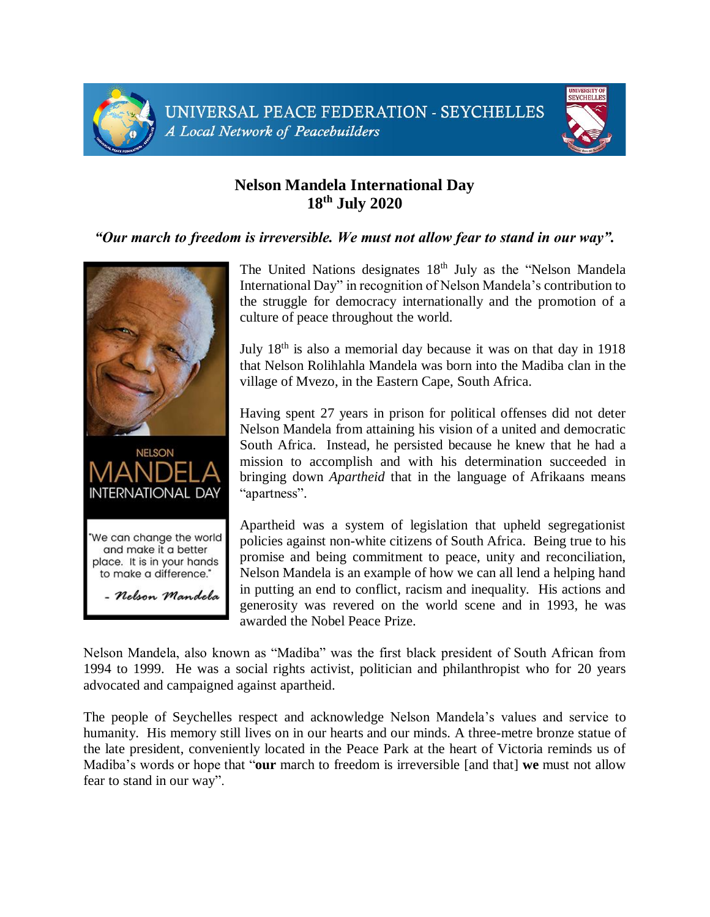



## **Nelson Mandela International Day 18th July 2020**

## *"Our march to freedom is irreversible. We must not allow fear to stand in our way".*



The United Nations designates 18<sup>th</sup> July as the "Nelson Mandela" International Day" in recognition of Nelson Mandela's contribution to the struggle for democracy internationally and the promotion of a culture of peace throughout the world.

July 18th is also a memorial day because it was on that day in 1918 that Nelson Rolihlahla Mandela was born into the Madiba clan in the village of Mvezo, in the Eastern Cape, South Africa.

Having spent 27 years in prison for political offenses did not deter Nelson Mandela from attaining his vision of a united and democratic South Africa. Instead, he persisted because he knew that he had a mission to accomplish and with his determination succeeded in bringing down *Apartheid* that in the language of Afrikaans means "apartness".

Apartheid was a system of legislation that upheld segregationist policies against non-white citizens of South Africa. Being true to his promise and being commitment to peace, unity and reconciliation, Nelson Mandela is an example of how we can all lend a helping hand in putting an end to conflict, racism and inequality. His actions and generosity was revered on the world scene and in 1993, he was awarded the Nobel Peace Prize.

Nelson Mandela, also known as "Madiba" was the first black president of South African from 1994 to 1999. He was a social rights activist, politician and philanthropist who for 20 years advocated and campaigned against apartheid.

The people of Seychelles respect and acknowledge Nelson Mandela's values and service to humanity. His memory still lives on in our hearts and our minds. A three-metre bronze statue of the late president, conveniently located in the Peace Park at the heart of Victoria reminds us of Madiba's words or hope that "**our** march to freedom is irreversible [and that] **we** must not allow fear to stand in our way".